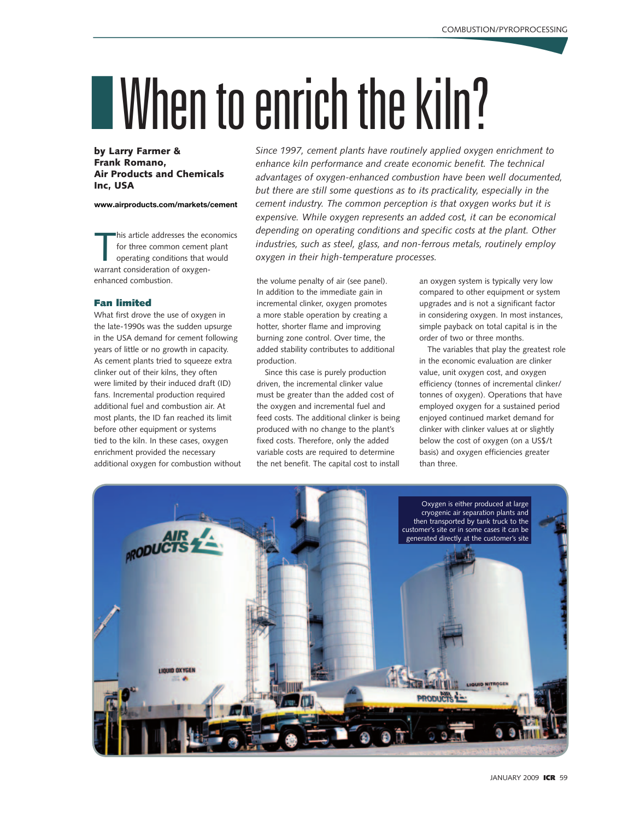# IWhen to enrich the kiln?

# by Larry Farmer & Frank Romano, Air Products and Chemicals Inc, USA

**www.airproducts.com/markets/cement**

his article addresses the ecc<br>for three common cement<br>operating conditions that w<br>warrant consideration of oxygenhis article addresses the economics for three common cement plant operating conditions that would enhanced combustion.

### Fan limited

What first drove the use of oxygen in the late-1990s was the sudden upsurge in the USA demand for cement following years of little or no growth in capacity. As cement plants tried to squeeze extra clinker out of their kilns, they often were limited by their induced draft (ID) fans. Incremental production required additional fuel and combustion air. At most plants, the ID fan reached its limit before other equipment or systems tied to the kiln. In these cases, oxygen enrichment provided the necessary additional oxygen for combustion without *Since 1997, cement plants have routinely applied oxygen enrichment to enhance kiln performance and create economic benefit. The technical advantages of oxygen-enhanced combustion have been well documented, but there are still some questions as to its practicality, especially in the cement industry. The common perception is that oxygen works but it is expensive. While oxygen represents an added cost, it can be economical depending on operating conditions and specific costs at the plant. Other industries, such as steel, glass, and non-ferrous metals, routinely employ oxygen in their high-temperature processes.* 

the volume penalty of air (see panel). In addition to the immediate gain in incremental clinker, oxygen promotes a more stable operation by creating a hotter, shorter flame and improving burning zone control. Over time, the added stability contributes to additional production.

Since this case is purely production driven, the incremental clinker value must be greater than the added cost of the oxygen and incremental fuel and feed costs. The additional clinker is being produced with no change to the plant's fixed costs. Therefore, only the added variable costs are required to determine the net benefit. The capital cost to install an oxygen system is typically very low compared to other equipment or system upgrades and is not a significant factor in considering oxygen. In most instances, simple payback on total capital is in the order of two or three months.

The variables that play the greatest role in the economic evaluation are clinker value, unit oxygen cost, and oxygen efficiency (tonnes of incremental clinker/ tonnes of oxygen). Operations that have employed oxygen for a sustained period enjoyed continued market demand for clinker with clinker values at or slightly below the cost of oxygen (on a US\$/t basis) and oxygen efficiencies greater than three.